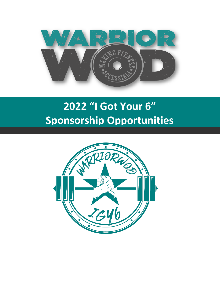

# **2022 "I Got Your 6" Sponsorship Opportunities**

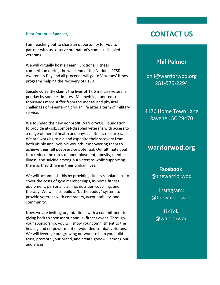#### **Dear Potential Sponsor,**

I am reaching out to share an opportunity for you to partner with us to serve our nation's combat-disabled veterans.

We will virtually host a Team Functional Fitness competition during the weekend of the National PTSD Awareness Day and all proceeds will go to Veterans' fitness programs helping the recovery of PTSD.

Suicide currently claims the lives of 17.6 military veterans per day by some estimates. Meanwhile, hundreds of thousands more suffer from the mental and physical challenges of re-entering civilian life after a term of military service.

We founded the new nonprofit WarriorWOD Foundation to provide at-risk, combat-disabled veterans with access to a range of mental health and physical fitness resources. We are working to aid and expedite their recovery from both visible and invisible wounds, empowering them to achieve their full post-service potential. Our ultimate goal is to reduce the rates of unemployment, obesity, mental illness, and suicide among our veterans while supporting them as they thrive in their civilian lives.

We will accomplish this by providing fitness scholarships to cover the costs of gym memberships, in-home fitness equipment, personal training, nutrition coaching, and therapy. We will also build a "battle buddy" system to provide veterans with comradery, accountability, and community.

Now, we are inviting organizations with a commitment to giving back to sponsor our annual fitness event. Through your sponsorship, you will show your commitment to the healing and empowerment of wounded combat veterans. We will leverage our growing network to help you build trust, promote your brand, and create goodwill among our audiences.

## **CONTACT US**

### **Phil Palmer**

phil@warriorwod.org 281-979-2294

4176 Home Town Lane Ravenel, SC 29470

## **warriorwod.org**

**Facebook:** @thewarriorwod

Instagram: @thewarriorwod

TikTok: @warriorwod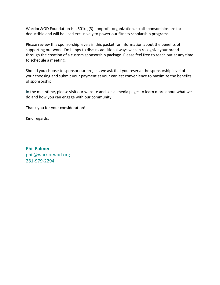WarriorWOD Foundation is a 501(c)(3) nonprofit organization, so all sponsorships are taxdeductible and will be used exclusively to power our fitness scholarship programs.

Please review this sponsorship levels in this packet for information about the benefits of supporting our work. I'm happy to discuss additional ways we can recognize your brand through the creation of a custom sponsorship package. Please feel free to reach out at any time to schedule a meeting.

Should you choose to sponsor our project, we ask that you reserve the sponsorship level of your choosing and submit your payment at your earliest convenience to maximize the benefits of sponsorship.

In the meantime, please visit our website and social media pages to learn more about what we do and how you can engage with our community.

Thank you for your consideration!

Kind regards,

**Phil Palmer** phil@warriorwod.org 281-979-2294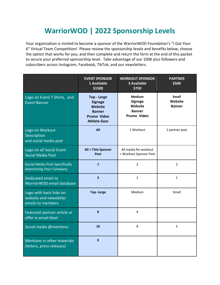# **WarriorWOD | 2022 Sponsorship Levels**

Your organization is invited to become a sponsor of the WarriorWOD Foundation's "I Got Your 6" Virtual Team Competition! Please review the sponsorship levels and benefits below, choose the option that works for you, and then complete and return the form at the end of this packet to secure your preferred sponsorship level. Take advantage of our 100K plus followers and subscribers across Instagram, Facebook, TikTok, and our newsletters.

|                                                                          | <b>EVENT SPONSOR</b><br>1 Available<br>\$1500                                                                        | <b>WORKOUT SPONSOR</b><br><b>3 Available</b><br>\$750                      | <b>PARTNER</b><br>\$500                  |
|--------------------------------------------------------------------------|----------------------------------------------------------------------------------------------------------------------|----------------------------------------------------------------------------|------------------------------------------|
| Logo on Event T-Shirts, and<br><b>Event Banner</b>                       | <b>Top - Large</b><br><b>Signage</b><br><b>Website</b><br><b>Banner</b><br><b>Promo Video</b><br><b>Athlete Gear</b> | <b>Medium</b><br><b>Signage</b><br>Website<br><b>Banner</b><br>Promo Video | <b>Small</b><br>Website<br><b>Banner</b> |
| Logo on Workout<br>Description<br>and social media post                  | All                                                                                                                  | 1 Workout                                                                  | 1 partner post                           |
| Logo on all Social Event<br>Social Media Post                            | All + Title Sponsor<br>Post                                                                                          | All media for workout<br>+ Workout Sponsor Post                            |                                          |
| <b>Social Media Post Specifically</b><br><b>Advertising Your Company</b> | $\overline{3}$                                                                                                       | $\overline{2}$                                                             | $\mathbf{1}$                             |
| Dedicated email to<br>WarriorWOD email database                          | $\overline{\mathbf{3}}$                                                                                              | $\overline{2}$                                                             | $\mathbf{1}$                             |
| Logo with back links on<br>website and newsletter<br>emails to members   | <b>Top-Large</b>                                                                                                     | Medium                                                                     | Small                                    |
| Featured sponsor article or<br>offer in email blast                      | $\mathbf{x}$                                                                                                         | X                                                                          |                                          |
| Social media @mentions                                                   | 10                                                                                                                   | 8                                                                          | 5                                        |
| Mentions in other materials<br>(letters, press releases)                 | $\mathbf{x}$                                                                                                         |                                                                            |                                          |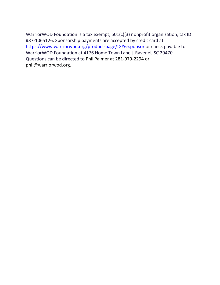WarriorWOD Foundation is a tax exempt, 501(c)(3) nonprofit organization, tax ID #87-1065126. Sponsorship payments are accepted by credit card at https://www.warriorwod.org/product-page/IGY6-sponsor or check payable to WarriorWOD Foundation at 4176 Home Town Lane | Ravenel, SC 29470. Questions can be directed to Phil Palmer at 281-979-2294 or phil@warriorwod.org.